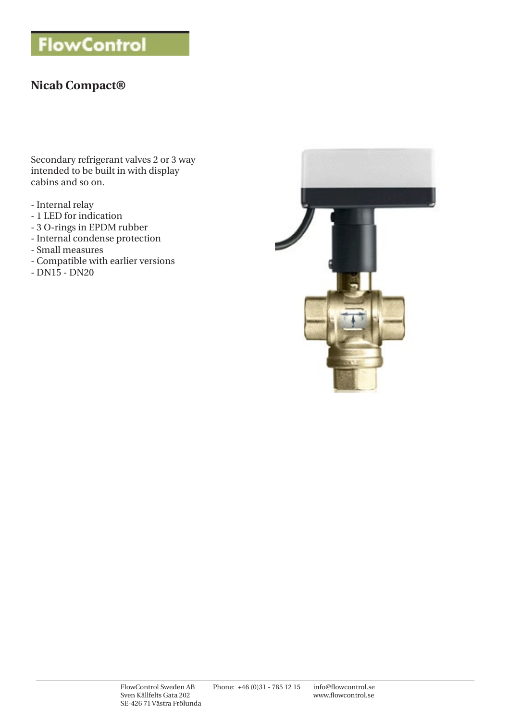# **FlowControl**

# **Nicab Compact®**

Secondary refrigerant valves 2 or 3 way intended to be built in with display cabins and so on.

- Internal relay
- 1 LED for indication
- 3 O-rings in EPDM rubber
- Internal condense protection
- Small measures
- Compatible with earlier versions
- DN15 DN20

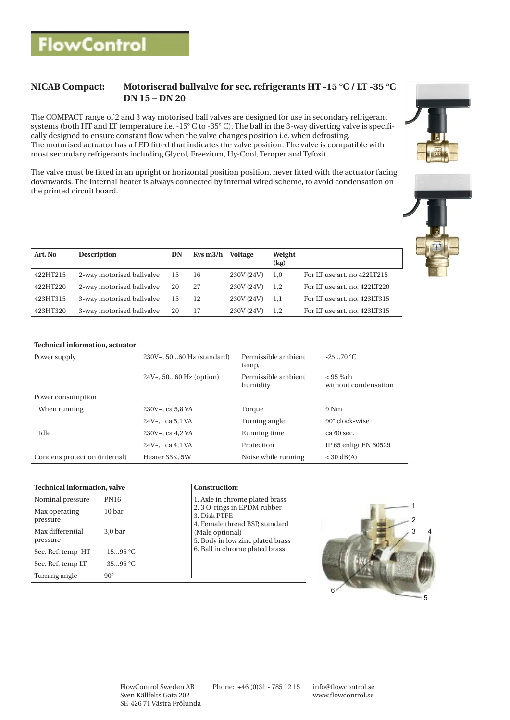## **NICAB Compact: Motoriserad ballvalve for sec. refrigerants HT -15 °C / LT -35 °C DN 15 – DN 20**

The COMPACT range of 2 and 3 way motorised ball valves are designed for use in secondary refrigerant systems (both HT and LT temperature i.e. -15° C to -35° C). The ball in the 3-way diverting valve is specifically designed to ensure constant flow when the valve changes position i.e. when defrosting. The motorised actuator has a LED fitted that indicates the valve position. The valve is compatible with most secondary refrigerants including Glycol, Freezium, Hy-Cool, Temper and Tyfoxit.

The valve must be fitted in an upright or horizontal position position, never fitted with the actuator facing downwards. The internal heater is always connected by internal wired scheme, to avoid condensation on the printed circuit board.



| Art. No  | <b>Description</b>        | DN | Kvs m3/h | Voltage    | Weight<br>(kg) |                              |
|----------|---------------------------|----|----------|------------|----------------|------------------------------|
| 422HT215 | 2-way motorised ballvalve | 15 | 16       | 230V (24V) | 1.0            | For LT use art. no 422LT215  |
| 422HT220 | 2-way motorised ballyalve | 20 | -27      | 230V (24V) | 1.2            | For LT use art. no. 422LT220 |
| 423HT315 | 3-way motorised ballvalve | 15 | -12      | 230V (24V) | -1.1           | For LT use art. no. 423LT315 |
| 423HT320 | 3-way motorised ballvalve | 20 | 17       | 230V (24V) | 1.2            | For LT use art. no. 423LT315 |

### **Technical information, actuator**

| Power supply                  | 230V~, 5060 Hz (standard) | Permissible ambient<br>temp,    | $-2570 °C$                         |  |
|-------------------------------|---------------------------|---------------------------------|------------------------------------|--|
|                               | $24Vz$ , 5060 Hz (option) | Permissible ambient<br>humidity | $< 95$ %rh<br>without condensation |  |
| Power consumption             |                           |                                 |                                    |  |
| When running                  | 230V~, ca 5,8 VA          | Torque                          | 9 Nm                               |  |
|                               | 24V $\sim$ . ca 5.1 VA    | Turning angle                   | $90^\circ$ clock-wise              |  |
| Idle                          | $230V - c$ ca 4.2 VA      | Running time                    | ca 60 sec.                         |  |
|                               | 24V $\sim$ . ca 4.1 VA    | Protection                      | IP 65 enligt EN 60529              |  |
| Condens protection (internal) | Heater 33K, 5W            | Noise while running             | $<$ 30 dB(A)                       |  |

### **Technical information, valve Construction:**

| Nominal pressure             | <b>PN16</b>        | 1. Axle in chrome plated brass<br>2.3 O-rings in EPDM rubber |  |  |  |
|------------------------------|--------------------|--------------------------------------------------------------|--|--|--|
| Max operating<br>pressure    | 10 bar             | 3. Disk PTFE<br>4. Female thread BSP, standard               |  |  |  |
| Max differential<br>pressure | 3.0 <sub>bar</sub> | (Male optional)<br>5. Body in low zinc plated bras           |  |  |  |
| Sec. Ref. temp HT            | $-1595 °C$         | 6. Ball in chrome plated brass                               |  |  |  |
| Sec. Ref. temp LT            | $-3595 °C$         |                                                              |  |  |  |
| Turning angle                | $90^\circ$         |                                                              |  |  |  |

| 1. Axle in chrome plated brass   |
|----------------------------------|
| 2.3 O-rings in EPDM rubber       |
| 3. Disk PTFE                     |
| 4. Female thread BSP, standard   |
| (Male optional)                  |
| 5. Body in low zinc plated brass |
| 6. Ball in chrome plated brass   |
|                                  |
|                                  |